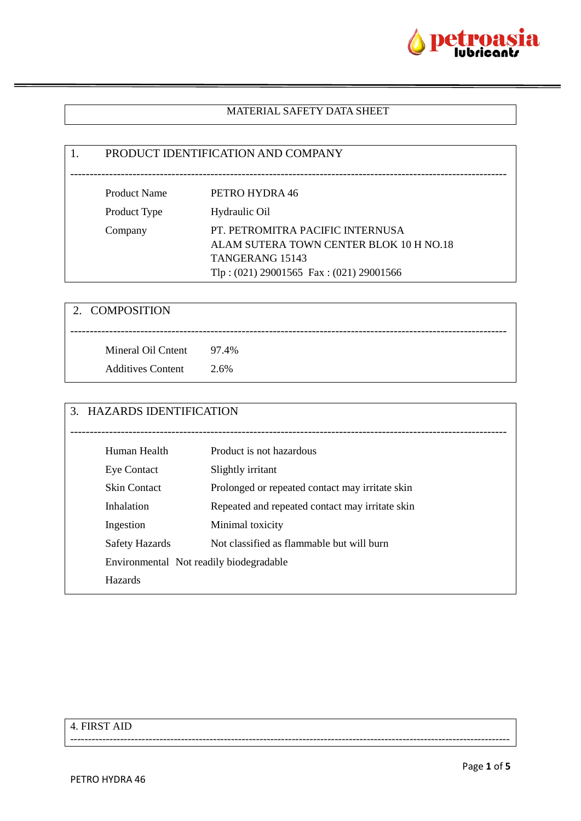

#### MATERIAL SAFETY DATA SHEET

# 1. PRODUCT IDENTIFICATION AND COMPANY ---------------------------------------------------------------------------------------------------------------- Product Name PETRO HYDRA 46 Product Type Hydraulic Oil Company PT. PETROMITRA PACIFIC INTERNUSA ALAM SUTERA TOWN CENTER BLOK 10 H NO.18 TANGERANG 15143 Tlp : (021) 29001565 Fax : (021) 29001566

| 2. COMPOSITION           |      |
|--------------------------|------|
| Mineral Oil Cntent 97.4% |      |
| <b>Additives Content</b> | 2.6% |

| 3. | <b>HAZARDS IDENTIFICATION</b>           |                                                 |
|----|-----------------------------------------|-------------------------------------------------|
|    |                                         |                                                 |
|    | Human Health                            | Product is not hazardous                        |
|    | Eye Contact                             | Slightly irritant                               |
|    | <b>Skin Contact</b>                     | Prolonged or repeated contact may irritate skin |
|    | Inhalation                              | Repeated and repeated contact may irritate skin |
|    | Ingestion                               | Minimal toxicity                                |
|    | <b>Safety Hazards</b>                   | Not classified as flammable but will burn       |
|    | Environmental Not readily biodegradable |                                                 |
|    | <b>Hazards</b>                          |                                                 |

---------------------------------------------------------------------------------------------------------------------------

## 4. FIRST AID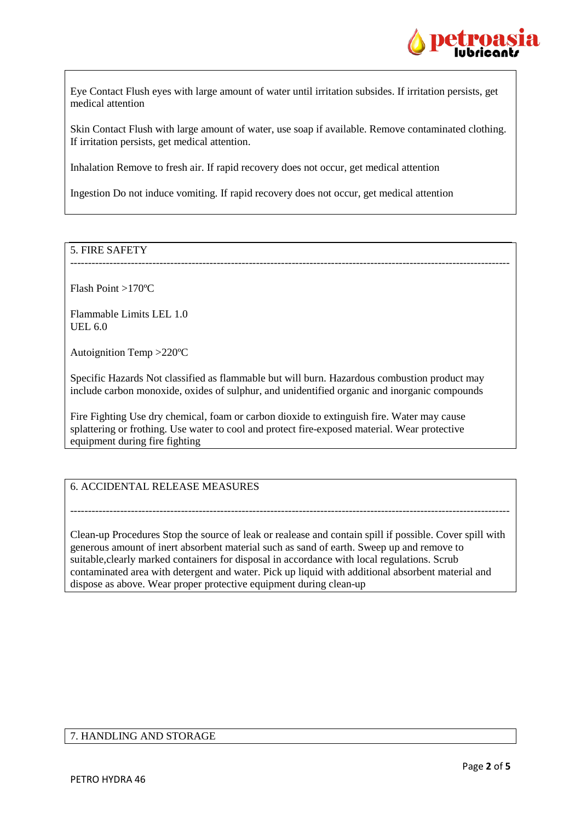

Eye Contact Flush eyes with large amount of water until irritation subsides. If irritation persists, get medical attention

Skin Contact Flush with large amount of water, use soap if available. Remove contaminated clothing. If irritation persists, get medical attention.

---------------------------------------------------------------------------------------------------------------------------

Inhalation Remove to fresh air. If rapid recovery does not occur, get medical attention

Ingestion Do not induce vomiting. If rapid recovery does not occur, get medical attention

## 5. FIRE SAFETY

Flash Point >170ºC

Flammable Limits LEL 1.0 UEL 6.0

Autoignition Temp >220ºC

Specific Hazards Not classified as flammable but will burn. Hazardous combustion product may include carbon monoxide, oxides of sulphur, and unidentified organic and inorganic compounds

Fire Fighting Use dry chemical, foam or carbon dioxide to extinguish fire. Water may cause splattering or frothing. Use water to cool and protect fire-exposed material. Wear protective equipment during fire fighting

6. ACCIDENTAL RELEASE MEASURES

Clean-up Procedures Stop the source of leak or realease and contain spill if possible. Cover spill with generous amount of inert absorbent material such as sand of earth. Sweep up and remove to suitable,clearly marked containers for disposal in accordance with local regulations. Scrub contaminated area with detergent and water. Pick up liquid with additional absorbent material and dispose as above. Wear proper protective equipment during clean-up

---------------------------------------------------------------------------------------------------------------------------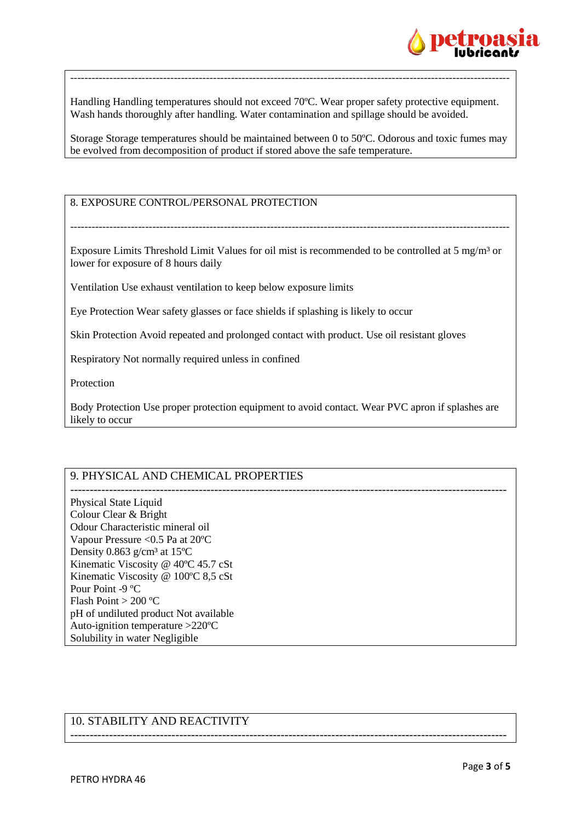

Handling Handling temperatures should not exceed 70ºC. Wear proper safety protective equipment. Wash hands thoroughly after handling. Water contamination and spillage should be avoided.

---------------------------------------------------------------------------------------------------------------------------

Storage Storage temperatures should be maintained between 0 to 50ºC. Odorous and toxic fumes may be evolved from decomposition of product if stored above the safe temperature.

## 8. EXPOSURE CONTROL/PERSONAL PROTECTION

Exposure Limits Threshold Limit Values for oil mist is recommended to be controlled at 5 mg/m<sup>3</sup> or lower for exposure of 8 hours daily

---------------------------------------------------------------------------------------------------------------------------

Ventilation Use exhaust ventilation to keep below exposure limits

Eye Protection Wear safety glasses or face shields if splashing is likely to occur

Skin Protection Avoid repeated and prolonged contact with product. Use oil resistant gloves

Respiratory Not normally required unless in confined

Protection

Body Protection Use proper protection equipment to avoid contact. Wear PVC apron if splashes are likely to occur

----------------------------------------------------------------------------------------------------------------

## 9. PHYSICAL AND CHEMICAL PROPERTIES

---------------------------------------------------------------------------------------------------------------- Physical State Liquid Colour Clear & Bright Odour Characteristic mineral oil Vapour Pressure <0.5 Pa at 20ºC Density 0.863 g/cm<sup>3</sup> at 15 $^{\circ}$ C Kinematic Viscosity @ 40ºC 45.7 cSt Kinematic Viscosity @ 100ºC 8,5 cSt Pour Point -9 ºC Flash Point > 200 ºC pH of undiluted product Not available Auto-ignition temperature >220ºC Solubility in water Negligible

## 10. STABILITY AND REACTIVITY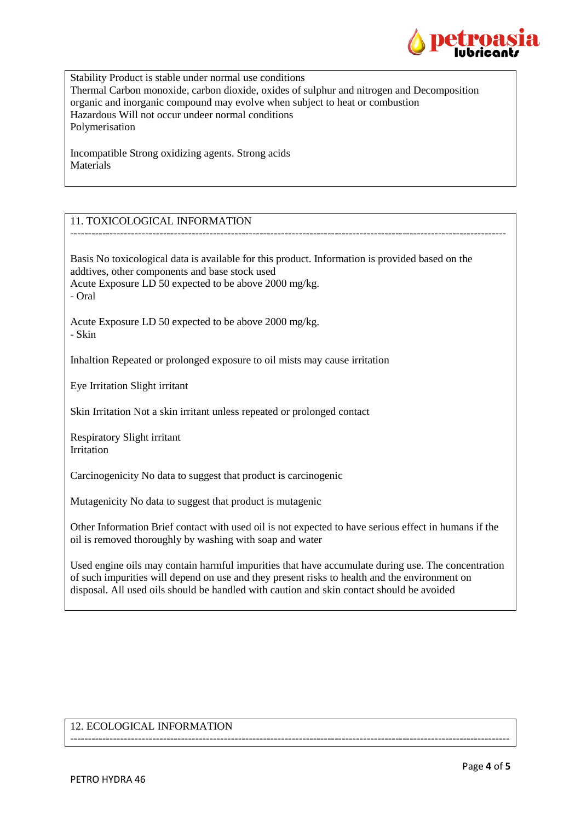

Stability Product is stable under normal use conditions Thermal Carbon monoxide, carbon dioxide, oxides of sulphur and nitrogen and Decomposition organic and inorganic compound may evolve when subject to heat or combustion Hazardous Will not occur undeer normal conditions Polymerisation

Incompatible Strong oxidizing agents. Strong acids Materials

## 11. TOXICOLOGICAL INFORMATION

Basis No toxicological data is available for this product. Information is provided based on the addtives, other components and base stock used Acute Exposure LD 50 expected to be above 2000 mg/kg. - Oral

--------------------------------------------------------------------------------------------------------------------------

Acute Exposure LD 50 expected to be above 2000 mg/kg. - Skin

Inhaltion Repeated or prolonged exposure to oil mists may cause irritation

Eye Irritation Slight irritant

Skin Irritation Not a skin irritant unless repeated or prolonged contact

Respiratory Slight irritant Irritation

Carcinogenicity No data to suggest that product is carcinogenic

Mutagenicity No data to suggest that product is mutagenic

Other Information Brief contact with used oil is not expected to have serious effect in humans if the oil is removed thoroughly by washing with soap and water

Used engine oils may contain harmful impurities that have accumulate during use. The concentration of such impurities will depend on use and they present risks to health and the environment on disposal. All used oils should be handled with caution and skin contact should be avoided

---------------------------------------------------------------------------------------------------------------------------

#### 12. ECOLOGICAL INFORMATION